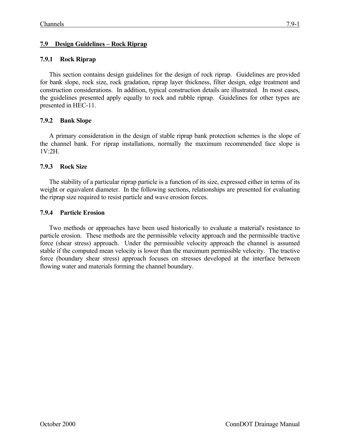# **7.9 Design Guidelines – Rock Riprap**

# **7.9.1 Rock Riprap**

This section contains design guidelines for the design of rock riprap. Guidelines are provided for bank slope, rock size, rock gradation, riprap layer thickness, filter design, edge treatment and construction considerations. In addition, typical construction details are illustrated. In most cases, the guidelines presented apply equally to rock and rubble riprap. Guidelines for other types are presented in HEC-11.

# **7.9.2 Bank Slope**

A primary consideration in the design of stable riprap bank protection schemes is the slope of the channel bank. For riprap installations, normally the maximum recommended face slope is  $1V.2H$ 

## **7.9.3 Rock Size**

The stability of a particular riprap particle is a function of its size, expressed either in terms of its weight or equivalent diameter. In the following sections, relationships are presented for evaluating the riprap size required to resist particle and wave erosion forces.

## **7.9.4 Particle Erosion**

Two methods or approaches have been used historically to evaluate a material's resistance to particle erosion. These methods are the permissible velocity approach and the permissible tractive force (shear stress) approach. Under the permissible velocity approach the channel is assumed stable if the computed mean velocity is lower than the maximum permissible velocity. The tractive force (boundary shear stress) approach focuses on stresses developed at the interface between flowing water and materials forming the channel boundary.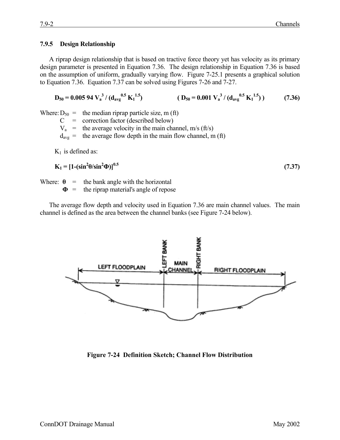#### **7.9.5 Design Relationship**

A riprap design relationship that is based on tractive force theory yet has velocity as its primary design parameter is presented in Equation 7.36. The design relationship in Equation 7.36 is based on the assumption of uniform, gradually varying flow. Figure 7-25.1 presents a graphical solution to Equation 7.36. Equation 7.37 can be solved using Figures 7-26 and 7-27.

$$
D_{50} = 0.00594 V_a^{3} / (d_{avg}^{0.5} K_1^{1.5})
$$
 (D<sub>50</sub> = 0.001 V\_a<sup>3</sup> / (d<sub>avg</sub><sup>0.5</sup> K<sub>1</sub><sup>1.5</sup>)) (7.36)

Where:  $D_{50}$  = the median riprap particle size, m (ft)

 $C =$  correction factor (described below)

 $V_a$  = the average velocity in the main channel, m/s (ft/s)

 $d_{avg}$  = the average flow depth in the main flow channel, m (ft)

 $K_1$  is defined as:

$$
K_1 = [1 - (\sin^2 \theta / \sin^2 \theta)]^{0.5}
$$
 (7.37)

Where:  $\theta$  = the bank angle with the horizontal

**Φ** = the riprap material's angle of repose

The average flow depth and velocity used in Equation 7.36 are main channel values. The main channel is defined as the area between the channel banks (see Figure 7-24 below).



**Figure 7-24 Definition Sketch; Channel Flow Distribution**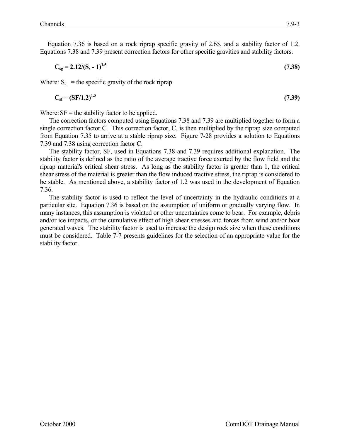Equation 7.36 is based on a rock riprap specific gravity of 2.65, and a stability factor of 1.2. Equations 7.38 and 7.39 present correction factors for other specific gravities and stability factors.

$$
C_{sg} = 2.12/(S_s - 1)^{1.5}
$$
 (7.38)

Where:  $S_s$  = the specific gravity of the rock riprap

$$
C_{\rm sf} = (SF/1.2)^{1.5} \tag{7.39}
$$

Where:  $SF =$  the stability factor to be applied.

The correction factors computed using Equations 7.38 and 7.39 are multiplied together to form a single correction factor C. This correction factor, C, is then multiplied by the riprap size computed from Equation 7.35 to arrive at a stable riprap size. Figure 7-28 provides a solution to Equations 7.39 and 7.38 using correction factor C.

The stability factor, SF, used in Equations 7.38 and 7.39 requires additional explanation. The stability factor is defined as the ratio of the average tractive force exerted by the flow field and the riprap material's critical shear stress. As long as the stability factor is greater than 1, the critical shear stress of the material is greater than the flow induced tractive stress, the riprap is considered to be stable. As mentioned above, a stability factor of 1.2 was used in the development of Equation 7.36.

The stability factor is used to reflect the level of uncertainty in the hydraulic conditions at a particular site. Equation 7.36 is based on the assumption of uniform or gradually varying flow. In many instances, this assumption is violated or other uncertainties come to bear. For example, debris and/or ice impacts, or the cumulative effect of high shear stresses and forces from wind and/or boat generated waves. The stability factor is used to increase the design rock size when these conditions must be considered. Table 7-7 presents guidelines for the selection of an appropriate value for the stability factor.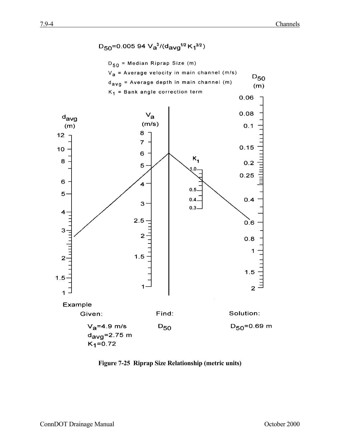

**Figure 7-25 Riprap Size Relationship (metric units)**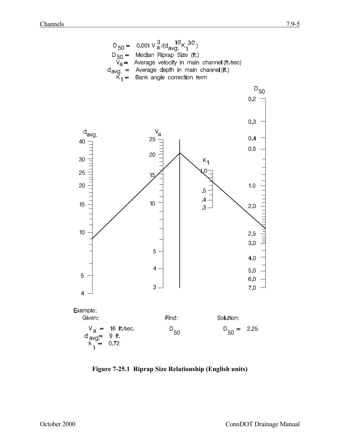

**Figure 7-25.1 Riprap Size Relationship (English units)**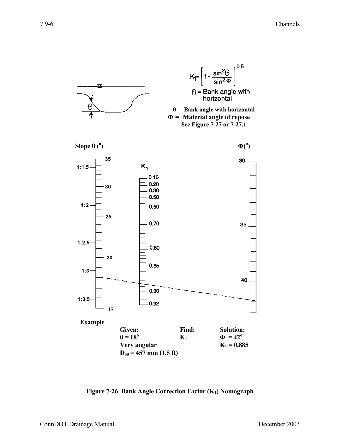

**Figure 7-26 Bank Angle Correction Factor (K1) Nomograph**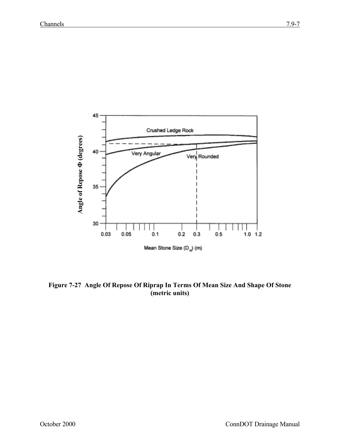

**Figure 7-27 Angle Of Repose Of Riprap In Terms Of Mean Size And Shape Of Stone (metric units)**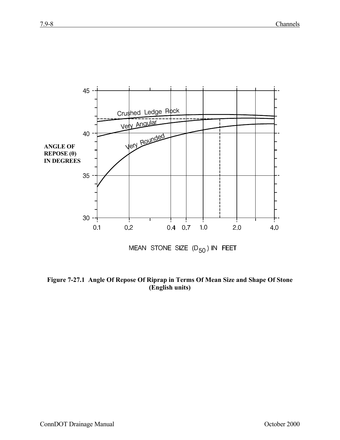

**Figure 7-27.1 Angle Of Repose Of Riprap in Terms Of Mean Size and Shape Of Stone (English units)**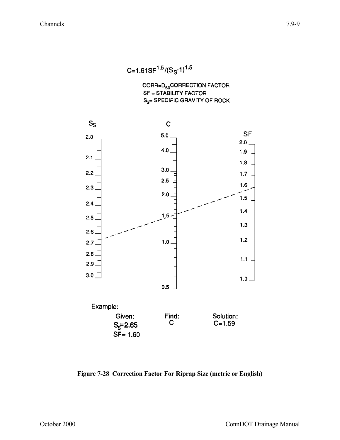C=1.61SF<sup>1.5</sup>/ $(S_S$ -1)<sup>1.5</sup>

CORR=D<sub>50</sub>CORRECTION FACTOR **SF = STABILITY FACTOR** S<sub>S</sub>= SPECIFIC GRAVITY OF ROCK



**Figure 7-28 Correction Factor For Riprap Size (metric or English)**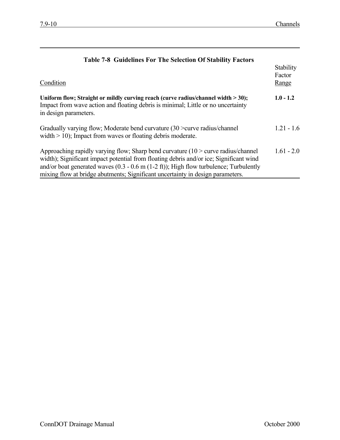| Table 7-8 Guidelines For The Selection Of Stability Factors                                                                                                                                                                                                                                                                                                                  |                              |
|------------------------------------------------------------------------------------------------------------------------------------------------------------------------------------------------------------------------------------------------------------------------------------------------------------------------------------------------------------------------------|------------------------------|
| Condition                                                                                                                                                                                                                                                                                                                                                                    | Stability<br>Factor<br>Range |
| Uniform flow; Straight or mildly curving reach (curve radius/channel width > 30);<br>Impact from wave action and floating debris is minimal; Little or no uncertainty<br>in design parameters.                                                                                                                                                                               | $1.0 - 1.2$                  |
| Gradually varying flow; Moderate bend curvature (30 > curve radius/channel<br>width $> 10$ ); Impact from waves or floating debris moderate.                                                                                                                                                                                                                                 | $1.21 - 1.6$                 |
| Approaching rapidly varying flow; Sharp bend curvature $(10 >$ curve radius/channel<br>width); Significant impact potential from floating debris and/or ice; Significant wind<br>and/or boat generated waves $(0.3 - 0.6 \text{ m } (1-2 \text{ ft}))$ ; High flow turbulence; Turbulently<br>mixing flow at bridge abutments; Significant uncertainty in design parameters. | $1.61 - 2.0$                 |

## **Table 7-8 Guidelines For The Selection Of Stability Factors**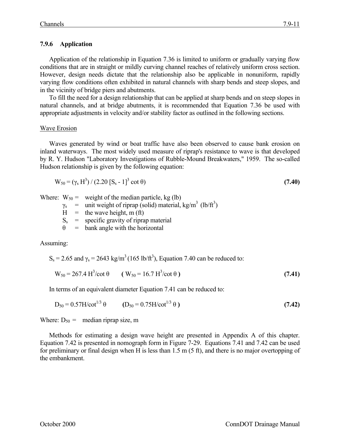#### **7.9.6 Application**

Application of the relationship in Equation 7.36 is limited to uniform or gradually varying flow conditions that are in straight or mildly curving channel reaches of relatively uniform cross section. However, design needs dictate that the relationship also be applicable in nonuniform, rapidly varying flow conditions often exhibited in natural channels with sharp bends and steep slopes, and in the vicinity of bridge piers and abutments.

To fill the need for a design relationship that can be applied at sharp bends and on steep slopes in natural channels, and at bridge abutments, it is recommended that Equation 7.36 be used with appropriate adjustments in velocity and/or stability factor as outlined in the following sections.

#### Wave Erosion

Waves generated by wind or boat traffic have also been observed to cause bank erosion on inland waterways. The most widely used measure of riprap's resistance to wave is that developed by R. Y. Hudson "Laboratory Investigations of Rubble-Mound Breakwaters," 1959. The so-called Hudson relationship is given by the following equation:

$$
W_{50} = (\gamma_s H^3) / (2.20 [S_s - 1]^3 \cot \theta)
$$
\n(7.40)

Where:  $W_{50}$  = weight of the median particle, kg (lb)

 $\gamma_s$  = unit weight of riprap (solid) material, kg/m<sup>3</sup> (lb/ft<sup>3</sup>)

 $H =$  the wave height, m (ft)

 $S_s$  = specific gravity of riprap material

 $\theta$  = bank angle with the horizontal

Assuming:

 $S_s = 2.65$  and  $\gamma_s = 2643$  kg/m<sup>3</sup> (165 lb/ft<sup>3</sup>), Equation 7.40 can be reduced to:

$$
W_{50} = 267.4 \text{ H}^3/\text{cot } \theta \qquad (W_{50} = 16.7 \text{ H}^3/\text{cot } \theta) \tag{7.41}
$$

In terms of an equivalent diameter Equation 7.41 can be reduced to:

$$
D_{50} = 0.57H/cot^{1/3} \theta \qquad (D_{50} = 0.75H/cot^{1/3} \theta)
$$
 (7.42)

Where:  $D_{50}$  = median riprap size, m

Methods for estimating a design wave height are presented in Appendix A of this chapter. Equation 7.42 is presented in nomograph form in Figure 7-29. Equations 7.41 and 7.42 can be used for preliminary or final design when H is less than 1.5 m (5 ft), and there is no major overtopping of the embankment.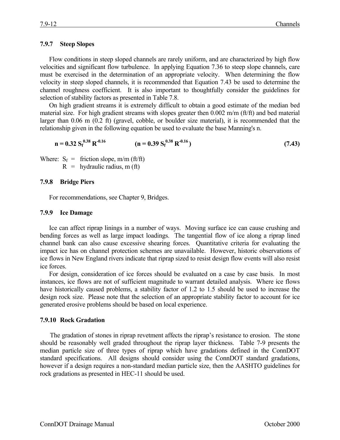## **7.9.7 Steep Slopes**

Flow conditions in steep sloped channels are rarely uniform, and are characterized by high flow velocities and significant flow turbulence. In applying Equation 7.36 to steep slope channels, care must be exercised in the determination of an appropriate velocity. When determining the flow velocity in steep sloped channels, it is recommended that Equation 7.43 be used to determine the channel roughness coefficient. It is also important to thoughtfully consider the guidelines for selection of stability factors as presented in Table 7.8.

On high gradient streams it is extremely difficult to obtain a good estimate of the median bed material size. For high gradient streams with slopes greater then 0.002 m/m (ft/ft) and bed material larger than 0.06 m (0.2 ft) (gravel, cobble, or boulder size material), it is recommended that the relationship given in the following equation be used to evaluate the base Manning's n.

$$
n = 0.32 S_f^{0.38} R^{-0.16}
$$
 (n = 0.39 S\_f^{0.38} R^{-0.16}) (7.43)

Where:  $S_f$  = friction slope, m/m (ft/ft)

 $R =$  hydraulic radius, m (ft)

#### **7.9.8 Bridge Piers**

For recommendations, see Chapter 9, Bridges.

#### **7.9.9 Ice Damage**

Ice can affect riprap linings in a number of ways. Moving surface ice can cause crushing and bending forces as well as large impact loadings. The tangential flow of ice along a riprap lined channel bank can also cause excessive shearing forces. Quantitative criteria for evaluating the impact ice has on channel protection schemes are unavailable. However, historic observations of ice flows in New England rivers indicate that riprap sized to resist design flow events will also resist ice forces.

For design, consideration of ice forces should be evaluated on a case by case basis. In most instances, ice flows are not of sufficient magnitude to warrant detailed analysis. Where ice flows have historically caused problems, a stability factor of 1.2 to 1.5 should be used to increase the design rock size. Please note that the selection of an appropriate stability factor to account for ice generated erosive problems should be based on local experience.

## **7.9.10 Rock Gradation**

The gradation of stones in riprap revetment affects the riprap's resistance to erosion. The stone should be reasonably well graded throughout the riprap layer thickness. Table 7-9 presents the median particle size of three types of riprap which have gradations defined in the ConnDOT standard specifications. All designs should consider using the ConnDOT standard gradations, however if a design requires a non-standard median particle size, then the AASHTO guidelines for rock gradations as presented in HEC-11 should be used.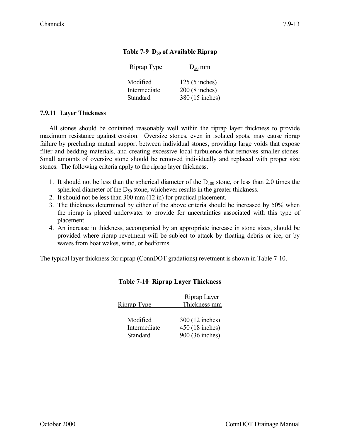| Riprap Type                          | $D_{50}$ mm                                          |
|--------------------------------------|------------------------------------------------------|
| Modified<br>Intermediate<br>Standard | $125(5$ inches)<br>200 (8 inches)<br>380 (15 inches) |
|                                      |                                                      |

# Table 7-9 D<sub>50</sub> of Available Riprap

### **7.9.11 Layer Thickness**

All stones should be contained reasonably well within the riprap layer thickness to provide maximum resistance against erosion. Oversize stones, even in isolated spots, may cause riprap failure by precluding mutual support between individual stones, providing large voids that expose filter and bedding materials, and creating excessive local turbulence that removes smaller stones. Small amounts of oversize stone should be removed individually and replaced with proper size stones. The following criteria apply to the riprap layer thickness.

- 1. It should not be less than the spherical diameter of the  $D_{100}$  stone, or less than 2.0 times the spherical diameter of the  $D_{50}$  stone, whichever results in the greater thickness.
- 2. It should not be less than 300 mm (12 in) for practical placement.
- 3. The thickness determined by either of the above criteria should be increased by 50% when the riprap is placed underwater to provide for uncertainties associated with this type of placement.
- 4. An increase in thickness, accompanied by an appropriate increase in stone sizes, should be provided where riprap revetment will be subject to attack by floating debris or ice, or by waves from boat wakes, wind, or bedforms.

The typical layer thickness for riprap (ConnDOT gradations) revetment is shown in Table 7-10.

|              | Riprap Layer    |
|--------------|-----------------|
| Riprap Type  | Thickness mm    |
|              |                 |
| Modified     | 300 (12 inches) |
| Intermediate | 450 (18 inches) |
| Standard     | 900 (36 inches) |

## **Table 7-10 Riprap Layer Thickness**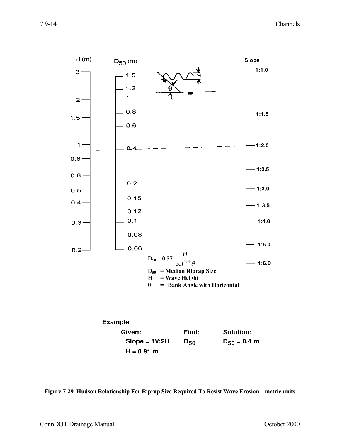

**Example** Solution: Given: Find:  $D_{50} = 0.4 m$  $Slope = 1V:2H$  $D_{50}$  $H = 0.91 m$ 

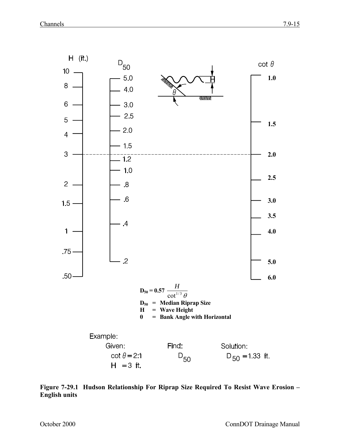

**Figure 7-29.1 Hudson Relationship For Riprap Size Required To Resist Wave Erosion – English units**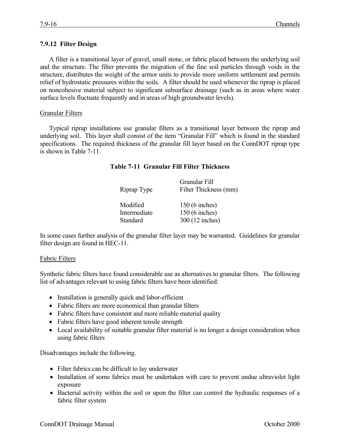### **7.9.12 Filter Design**

A filter is a transitional layer of gravel, small stone, or fabric placed between the underlying soil and the structure. The filter prevents the migration of the fine soil particles through voids in the structure, distributes the weight of the armor units to provide more uniform settlement and permits relief of hydrostatic pressures within the soils. A filter should be used whenever the riprap is placed on noncohesive material subject to significant subsurface drainage (such as in areas where water surface levels fluctuate frequently and in areas of high groundwater levels).

#### Granular Filters

Typical riprap installations use granular filters as a transitional layer between the riprap and underlying soil. This layer shall consist of the item "Granular Fill" which is found in the standard specifications. The required thickness of the granular fill layer based on the ConnDOT riprap type is shown in Table 7-11.

#### **Table 7-11 Granular Fill Filter Thickness**

| Riprap Type  | Granular Fill<br>Filter Thickness (mm) |
|--------------|----------------------------------------|
| Modified     | 150 (6 inches)                         |
| Intermediate | 150 (6 inches)                         |
| Standard     | 300 (12 inches)                        |

In some cases further analysis of the granular filter layer may be warranted. Guidelines for granular filter design are found in HEC-11.

#### Fabric Filters

Synthetic fabric filters have found considerable use as alternatives to granular filters. The following list of advantages relevant to using fabric filters have been identified:

- Installation is generally quick and labor-efficient
- Fabric filters are more economical than granular filters
- Fabric filters have consistent and more reliable material quality
- Fabric filters have good inherent tensile strength
- Local availability of suitable granular filter material is no longer a design consideration when using fabric filters

Disadvantages include the following.

- Filter fabrics can be difficult to lay underwater
- Installation of some fabrics must be undertaken with care to prevent undue ultraviolet light exposure
- Bacterial activity within the soil or upon the filter can control the hydraulic responses of a fabric filter system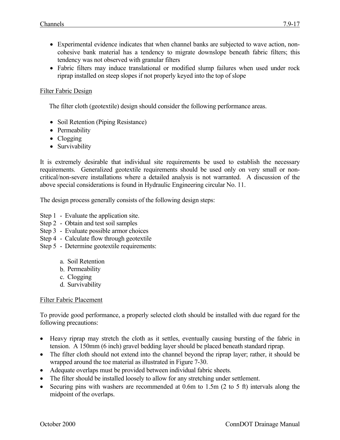- Experimental evidence indicates that when channel banks are subjected to wave action, noncohesive bank material has a tendency to migrate downslope beneath fabric filters; this tendency was not observed with granular filters
- Fabric filters may induce translational or modified slump failures when used under rock riprap installed on steep slopes if not properly keyed into the top of slope

# Filter Fabric Design

The filter cloth (geotextile) design should consider the following performance areas.

- Soil Retention (Piping Resistance)
- Permeability
- Clogging
- Survivability

It is extremely desirable that individual site requirements be used to establish the necessary requirements. Generalized geotextile requirements should be used only on very small or noncritical/non-severe installations where a detailed analysis is not warranted. A discussion of the above special considerations is found in Hydraulic Engineering circular No. 11.

The design process generally consists of the following design steps:

- Step 1 Evaluate the application site.
- Step 2 Obtain and test soil samples
- Step 3 Evaluate possible armor choices
- Step 4 Calculate flow through geotextile
- Step 5 Determine geotextile requirements:
	- a. Soil Retention
	- b. Permeability
	- c. Clogging
	- d. Survivability

## Filter Fabric Placement

To provide good performance, a properly selected cloth should be installed with due regard for the following precautions:

- Heavy riprap may stretch the cloth as it settles, eventually causing bursting of the fabric in tension. A 150mm (6 inch) gravel bedding layer should be placed beneath standard riprap.
- The filter cloth should not extend into the channel beyond the riprap layer; rather, it should be wrapped around the toe material as illustrated in Figure 7-30.
- Adequate overlaps must be provided between individual fabric sheets.
- The filter should be installed loosely to allow for any stretching under settlement.
- Securing pins with washers are recommended at 0.6m to 1.5m (2 to 5 ft) intervals along the midpoint of the overlaps.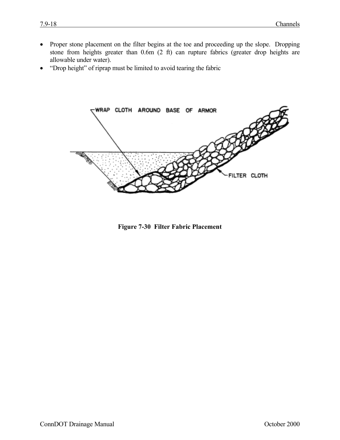- Proper stone placement on the filter begins at the toe and proceeding up the slope. Dropping stone from heights greater than 0.6m (2 ft) can rupture fabrics (greater drop heights are allowable under water).
- "Drop height" of riprap must be limited to avoid tearing the fabric



**Figure 7-30 Filter Fabric Placement**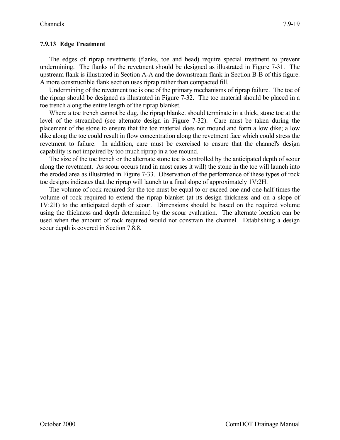# **7.9.13 Edge Treatment**

The edges of riprap revetments (flanks, toe and head) require special treatment to prevent undermining. The flanks of the revetment should be designed as illustrated in Figure 7-31. The upstream flank is illustrated in Section A-A and the downstream flank in Section B-B of this figure. A more constructible flank section uses riprap rather than compacted fill.

Undermining of the revetment toe is one of the primary mechanisms of riprap failure. The toe of the riprap should be designed as illustrated in Figure 7-32. The toe material should be placed in a toe trench along the entire length of the riprap blanket.

Where a toe trench cannot be dug, the riprap blanket should terminate in a thick, stone toe at the level of the streambed (see alternate design in Figure 7-32). Care must be taken during the placement of the stone to ensure that the toe material does not mound and form a low dike; a low dike along the toe could result in flow concentration along the revetment face which could stress the revetment to failure. In addition, care must be exercised to ensure that the channel's design capability is not impaired by too much riprap in a toe mound.

The size of the toe trench or the alternate stone toe is controlled by the anticipated depth of scour along the revetment. As scour occurs (and in most cases it will) the stone in the toe will launch into the eroded area as illustrated in Figure 7-33. Observation of the performance of these types of rock toe designs indicates that the riprap will launch to a final slope of approximately 1V:2H.

The volume of rock required for the toe must be equal to or exceed one and one-half times the volume of rock required to extend the riprap blanket (at its design thickness and on a slope of 1V:2H) to the anticipated depth of scour. Dimensions should be based on the required volume using the thickness and depth determined by the scour evaluation. The alternate location can be used when the amount of rock required would not constrain the channel. Establishing a design scour depth is covered in Section 7.8.8.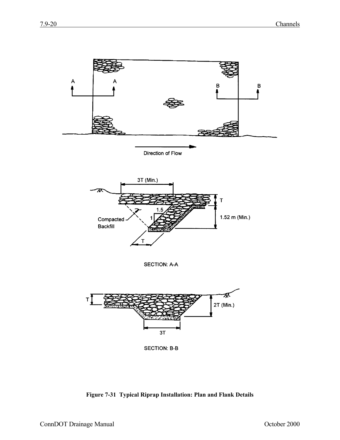

**Figure 7-31 Typical Riprap Installation: Plan and Flank Details**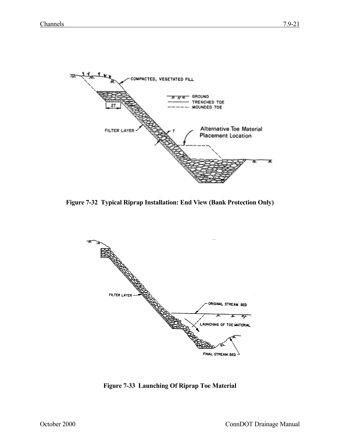

**Figure 7-32 Typical Riprap Installation: End View (Bank Protection Only)**



**Figure 7-33 Launching Of Riprap Toe Material**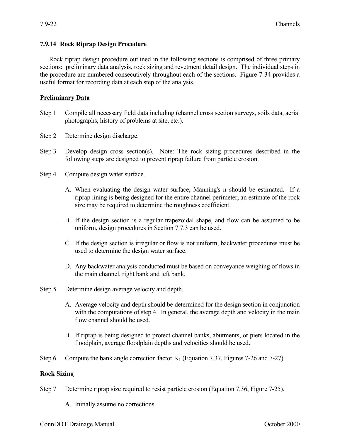### **7.9.14 Rock Riprap Design Procedure**

Rock riprap design procedure outlined in the following sections is comprised of three primary sections: preliminary data analysis, rock sizing and revetment detail design. The individual steps in the procedure are numbered consecutively throughout each of the sections. Figure 7-34 provides a useful format for recording data at each step of the analysis.

#### **Preliminary Data**

- Step 1 Compile all necessary field data including (channel cross section surveys, soils data, aerial photographs, history of problems at site, etc.).
- Step 2 Determine design discharge.
- Step 3 Develop design cross section(s). Note: The rock sizing procedures described in the following steps are designed to prevent riprap failure from particle erosion.
- Step 4 Compute design water surface.
	- A. When evaluating the design water surface, Manning's n should be estimated. If a riprap lining is being designed for the entire channel perimeter, an estimate of the rock size may be required to determine the roughness coefficient.
	- B. If the design section is a regular trapezoidal shape, and flow can be assumed to be uniform, design procedures in Section 7.7.3 can be used.
	- C. If the design section is irregular or flow is not uniform, backwater procedures must be used to determine the design water surface.
	- D. Any backwater analysis conducted must be based on conveyance weighing of flows in the main channel, right bank and left bank.
- Step 5 Determine design average velocity and depth.
	- A. Average velocity and depth should be determined for the design section in conjunction with the computations of step 4. In general, the average depth and velocity in the main flow channel should be used.
	- B. If riprap is being designed to protect channel banks, abutments, or piers located in the floodplain, average floodplain depths and velocities should be used.
- Step 6 Compute the bank angle correction factor  $K_1$  (Equation 7.37, Figures 7-26 and 7-27).

#### **Rock Sizing**

- Step 7 Determine riprap size required to resist particle erosion (Equation 7.36, Figure 7-25).
	- A. Initially assume no corrections.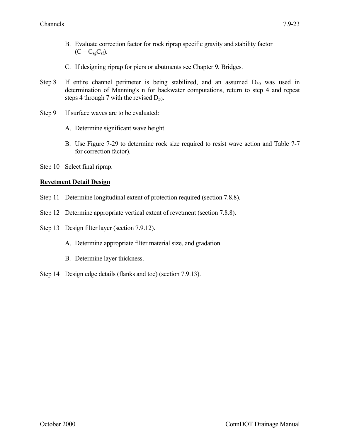- B. Evaluate correction factor for rock riprap specific gravity and stability factor  $(C = C_{sg}C_{sf})$ .
- C. If designing riprap for piers or abutments see Chapter 9, Bridges.
- Step 8 If entire channel perimeter is being stabilized, and an assumed  $D_{50}$  was used in determination of Manning's n for backwater computations, return to step 4 and repeat steps 4 through 7 with the revised  $D_{50}$ .
- Step 9 If surface waves are to be evaluated:
	- A. Determine significant wave height.
	- B. Use Figure 7-29 to determine rock size required to resist wave action and Table 7-7 for correction factor).
- Step 10 Select final riprap.

# **Revetment Detail Design**

- Step 11 Determine longitudinal extent of protection required (section 7.8.8).
- Step 12 Determine appropriate vertical extent of revetment (section 7.8.8).
- Step 13 Design filter layer (section 7.9.12).
	- A. Determine appropriate filter material size, and gradation.
	- B. Determine layer thickness.
- Step 14 Design edge details (flanks and toe) (section 7.9.13).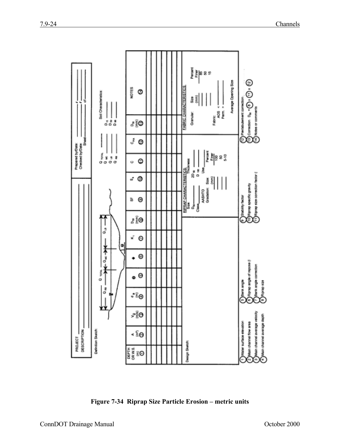

**Figure 7-34 Riprap Size Particle Erosion – metric units**